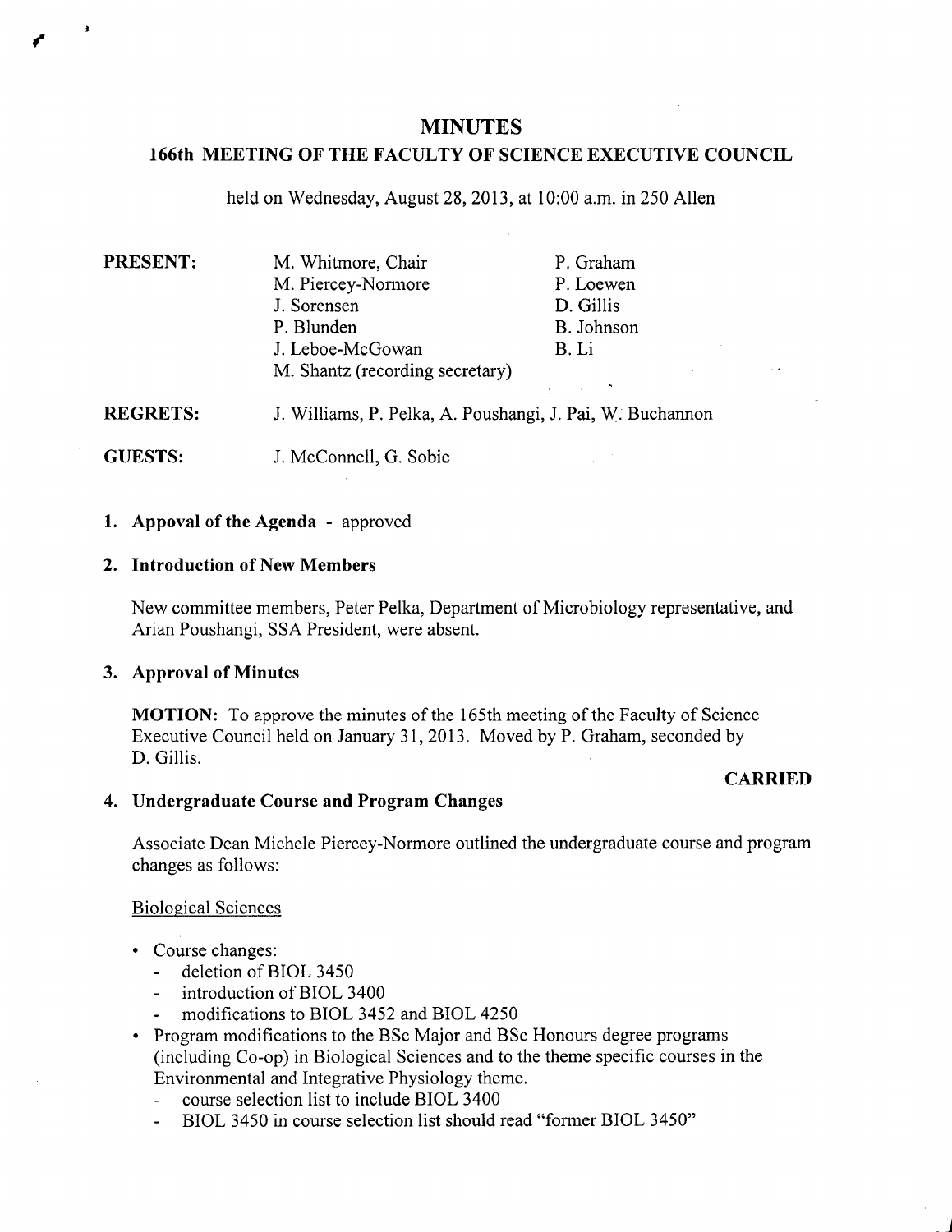## **MINUTES**

## **166th MEETING OF THE FACULTY OF SCIENCE EXECUTIVE COUNCIL**

held on Wednesday, August 28, 2013, at 10:00 a.m. in *250* Allen

| PRESENT:        | M. Whitmore, Chair                                        | P. Graham  |
|-----------------|-----------------------------------------------------------|------------|
|                 | M. Piercey-Normore                                        | P. Loewen  |
|                 | J. Sorensen                                               | D. Gillis  |
|                 | P. Blunden                                                | B. Johnson |
|                 | J. Leboe-McGowan                                          | B. Li      |
|                 | M. Shantz (recording secretary)                           |            |
| <b>REGRETS:</b> | J. Williams, P. Pelka, A. Poushangi, J. Pai, W. Buchannon |            |
| <b>GUESTS:</b>  | J. McConnell, G. Sobie                                    |            |

## **Appoval of the Agenda** - approved

#### **Introduction of New Members**

New committee members, Peter Pelka, Department of Microbiology representative, and Arian Poushangi, SSA President, were absent.

#### **Approval of Minutes**

 $\mathbf{r}$ 

**MOTION:** To approve the minutes of the 165th meeting of the Faculty of Science Executive Council held on January 31, 2013. Moved by P. Graham, seconded by D. Gillis.

#### **CARRIED**

#### **Undergraduate Course and Program Changes**

Associate Dean Michele Piercey-Normore outlined the undergraduate course and program changes as follows:

#### Biological Sciences

- Course changes:
	- deletion of BIOL 3450
	- introduction of BIOL 3400
	- modifications to BIOL 3452 and BIOL 4250
- Program modifications to the BSc Major and BSc Honours degree programs (including Co-op) in Biological Sciences and to the theme specific courses in the Environmental and Integrative Physiology theme.
	- course selection list to include BIOL 3400
	- BIOL 3450 in course selection list should read "former BIOL 3450"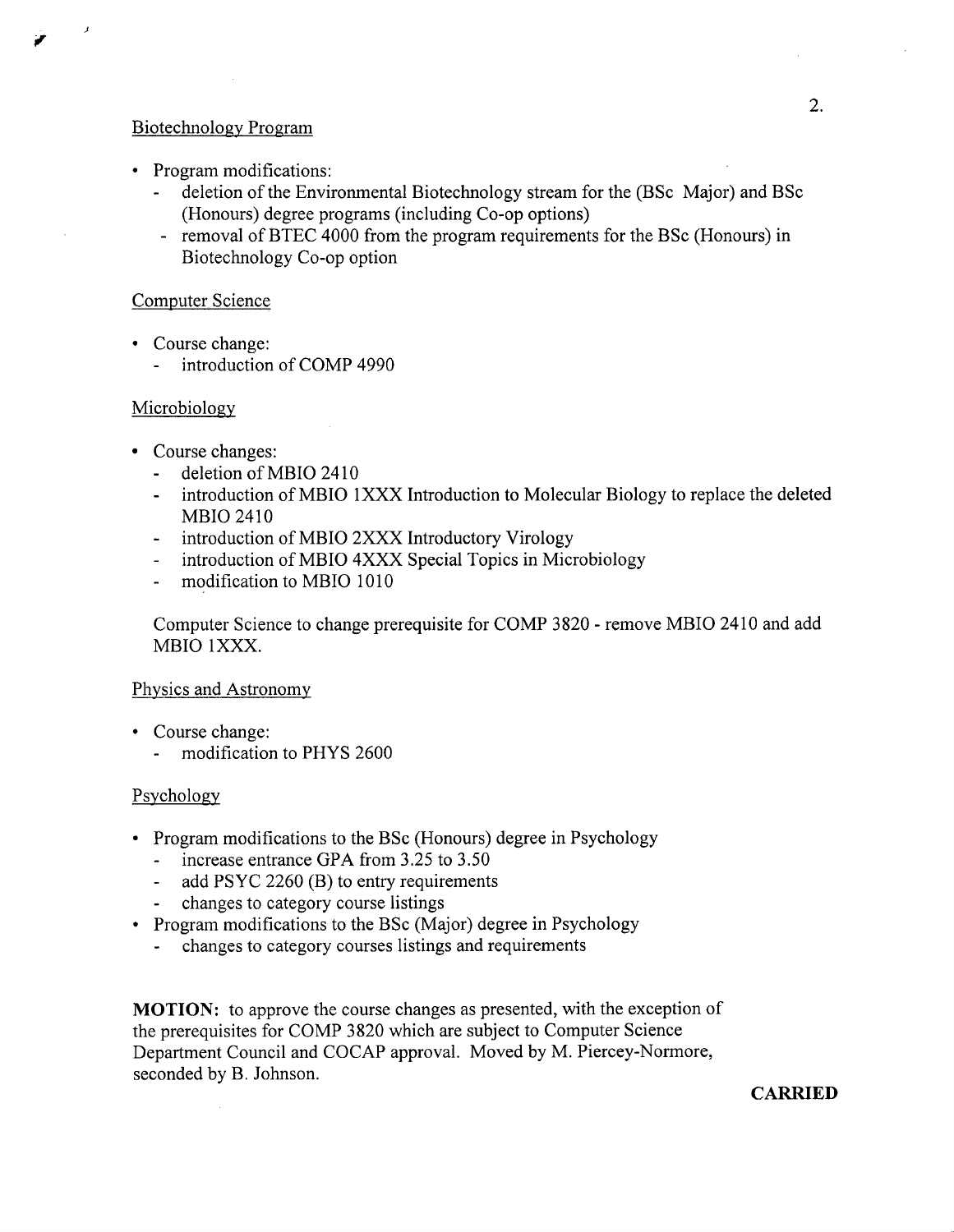## Biotechnology Program

- Program modifications:
	- deletion of the Environmental Biotechnology stream for the (BSc Major) and BSc (Honours) degree programs (including Co-op options)
	- removal of BTEC 4000 from the program requirements for the BSc (Honours) in Biotechnology Co-op option

#### Computer Science

- Course change:
	- introduction of COMP 4990

#### Microbiology

- Course changes:
	- deletion of MBIO 2410
	- introduction of MBIO 1XXX Introduction to Molecular Biology to replace the deleted MBIO 2410
	- introduction of MBIO 2XXX Introductory Virology
	- introduction of MBIO 4XXX Special Topics in Microbiology
	- modification to MBIO 1010

Computer Science to change prerequisite for COMP 3820 - remove MBIO 2410 and add MBIO lxxx.

#### Physics and Astronomy

- Course change:
	- modification to PHYS 2600

#### Psychology

- Program modifications to the BSc (Honours) degree in Psychology
	- increase entrance GPA from 3.25 to 3.50
	- add PSYC 2260 (B) to entry requirements
	- changes to category course listings
- Program modifications to the BSc (Major) degree in Psychology
	- changes to category courses listings and requirements

**MOTION:** to approve the course changes as presented, with the exception of the prerequisites for COMP 3820 which are subject to Computer Science Department Council and COCAP approval. Moved by M. Piercey-Normore, seconded by B. Johnson.

#### **CARRIED**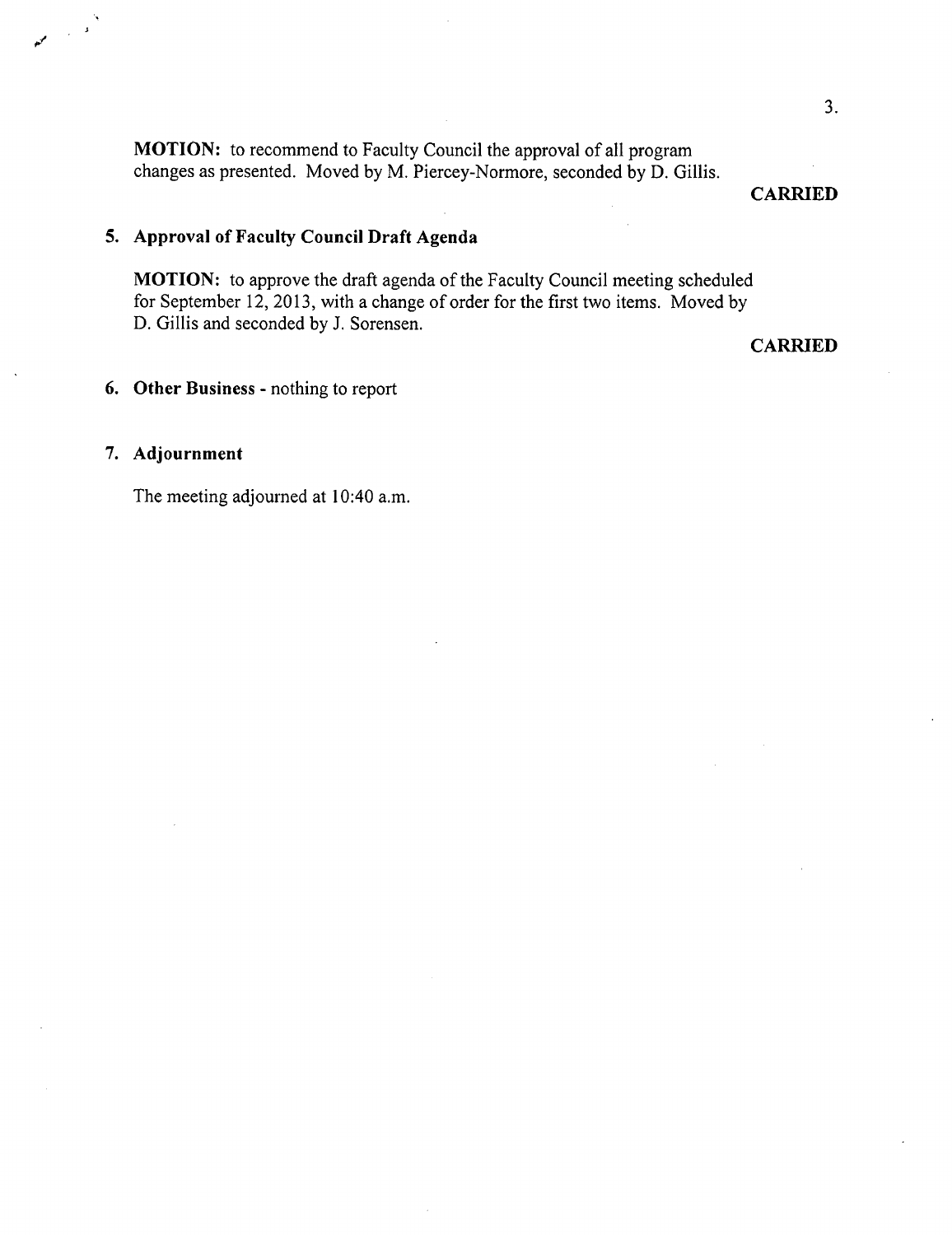**MOTION:** to recommend to Faculty Council the approval of all program changes as presented. Moved by M. Piercey-Normore, seconded by D. Gillis.

## **CARRIED**

# **Approval of Faculty Council Draft Agenda**

**MOTION:** to approve the draft agenda of the Faculty Council meeting scheduled for September 12, 2013, with a change of order for the first two items. Moved by D. Gillis and seconded by J. Sorensen.

### **CARRIED**

# **Other Business** - nothing to report

# **Adjournment**

 $\frac{1}{2}$ 

The meeting adjourned at 10:40 a.m.